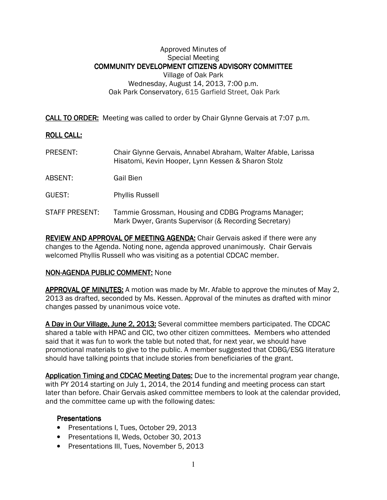# Approved Minutes of Special Meeting COMMUNITY DEVELOPMENT CITIZENS ADVISORY COMMITTEE Village of Oak Park Wednesday, August 14, 2013, 7:00 p.m. Oak Park Conservatory, 615 Garfield Street, Oak Park

**CALL TO ORDER:** Meeting was called to order by Chair Glynne Gervais at 7:07 p.m.

# **ROLL CALL:**

- PRESENT: Chair Glynne Gervais, Annabel Abraham, Walter Afable, Larissa Hisatomi, Kevin Hooper, Lynn Kessen & Sharon Stolz
- ABSENT: Gail Bien
- GUEST: Phyllis Russell
- STAFF PRESENT: Tammie Grossman, Housing and CDBG Programs Manager; Mark Dwyer, Grants Supervisor (& Recording Secretary)

REVIEW AND APPROVAL OF MEETING AGENDA: Chair Gervais asked if there were any changes to the Agenda. Noting none, agenda approved unanimously. Chair Gervais welcomed Phyllis Russell who was visiting as a potential CDCAC member.

#### NON-AGENDA PUBLIC COMMENT: None

APPROVAL OF MINUTES: A motion was made by Mr. Afable to approve the minutes of May 2, 2013 as drafted, seconded by Ms. Kessen. Approval of the minutes as drafted with minor changes passed by unanimous voice vote.

A Day in Our Village, June 2, 2013: Several committee members participated. The CDCAC shared a table with HPAC and CIC, two other citizen committees. Members who attended said that it was fun to work the table but noted that, for next year, we should have promotional materials to give to the public. A member suggested that CDBG/ESG literature should have talking points that include stories from beneficiaries of the grant.

Application Timing and CDCAC Meeting Dates: Due to the incremental program year change, with PY 2014 starting on July 1, 2014, the 2014 funding and meeting process can start later than before. Chair Gervais asked committee members to look at the calendar provided, and the committee came up with the following dates:

#### **Presentations**

- Presentations I, Tues, October 29, 2013
- Presentations II, Weds, October 30, 2013
- Presentations III, Tues, November 5, 2013